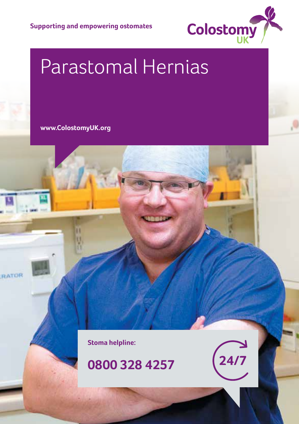

# Parastomal Hernias

**www.ColostomyUK.org**

RATOR

**Stoma helpline:**

#### **0800 328 4257**



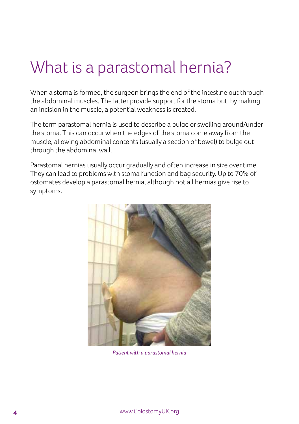#### What is a parastomal hernia?

When a stoma is formed, the surgeon brings the end of the intestine out through the abdominal muscles. The latter provide support for the stoma but, by making an incision in the muscle, a potential weakness is created.

The term parastomal hernia is used to describe a bulge or swelling around/under the stoma. This can occur when the edges of the stoma come away from the muscle, allowing abdominal contents (usually a section of bowel) to bulge out through the abdominal wall.

Parastomal hernias usually occur gradually and often increase in size over time. They can lead to problems with stoma function and bag security. Up to 70% of ostomates develop a parastomal hernia, although not all hernias give rise to symptoms.



*Patient with a parastomal hernia*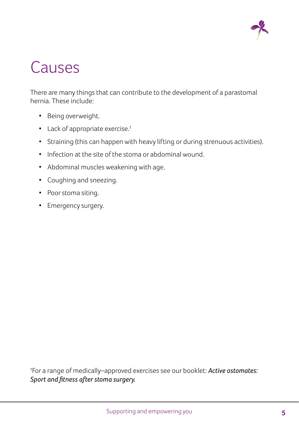

# Causes

There are many things that can contribute to the development of a parastomal hernia. These include:

- Being overweight.
- Lack of appropriate exercise.†
- Straining (this can happen with heavy lifting or during strenuous activities).
- Infection at the site of the stoma or abdominal wound.
- Abdominal muscles weakening with age.
- Coughing and sneezing.
- Poor stoma siting.
- Emergency surgery.

† For a range of medically–approved exercises see our booklet: *Active ostomates: Sport and fitness after stoma surgery.*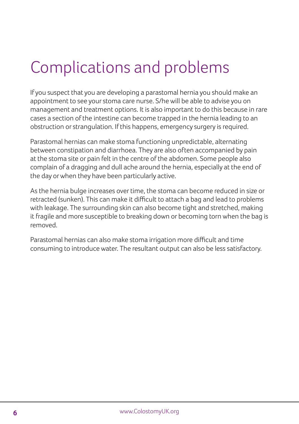# Complications and problems

If you suspect that you are developing a parastomal hernia you should make an appointment to see your stoma care nurse. S/he will be able to advise you on management and treatment options. It is also important to do this because in rare cases a section of the intestine can become trapped in the hernia leading to an obstruction or strangulation. If this happens, emergency surgery is required.

Parastomal hernias can make stoma functioning unpredictable, alternating between constipation and diarrhoea. They are also often accompanied by pain at the stoma site or pain felt in the centre of the abdomen. Some people also complain of a dragging and dull ache around the hernia, especially at the end of the day or when they have been particularly active.

As the hernia bulge increases over time, the stoma can become reduced in size or retracted (sunken). This can make it difficult to attach a bag and lead to problems with leakage. The surrounding skin can also become tight and stretched, making it fragile and more susceptible to breaking down or becoming torn when the bag is removed.

Parastomal hernias can also make stoma irrigation more difficult and time consuming to introduce water. The resultant output can also be less satisfactory.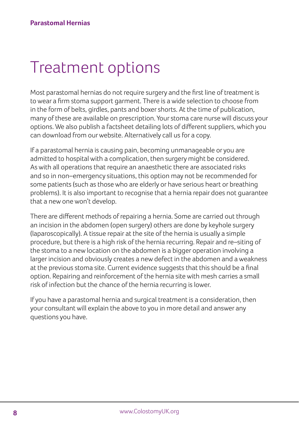## Treatment options

Most parastomal hernias do not require surgery and the first line of treatment is to wear a firm stoma support garment. There is a wide selection to choose from in the form of belts, girdles, pants and boxer shorts. At the time of publication, many of these are available on prescription. Your stoma care nurse will discuss your options. We also publish a factsheet detailing lots of different suppliers, which you can download from our website. Alternatively call us for a copy.

If a parastomal hernia is causing pain, becoming unmanageable or you are admitted to hospital with a complication, then surgery might be considered. As with all operations that require an anaesthetic there are associated risks and so in non–emergency situations, this option may not be recommended for some patients (such as those who are elderly or have serious heart or breathing problems). It is also important to recognise that a hernia repair does not guarantee that a new one won't develop.

There are different methods of repairing a hernia. Some are carried out through an incision in the abdomen (open surgery) others are done by keyhole surgery (laparoscopically). A tissue repair at the site of the hernia is usually a simple procedure, but there is a high risk of the hernia recurring. Repair and re–siting of the stoma to a new location on the abdomen is a bigger operation involving a larger incision and obviously creates a new defect in the abdomen and a weakness at the previous stoma site. Current evidence suggests that this should be a final option. Repairing and reinforcement of the hernia site with mesh carries a small risk of infection but the chance of the hernia recurring is lower.

If you have a parastomal hernia and surgical treatment is a consideration, then your consultant will explain the above to you in more detail and answer any questions you have.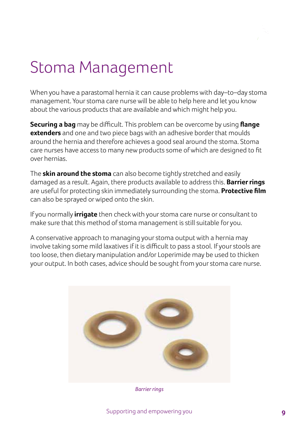## Stoma Management

When you have a parastomal hernia it can cause problems with day–to–day stoma management. Your stoma care nurse will be able to help here and let you know about the various products that are available and which might help you.

**Securing a bag** may be difficult. This problem can be overcome by using **flange extenders** and one and two piece bags with an adhesive border that moulds around the hernia and therefore achieves a good seal around the stoma. Stoma care nurses have access to many new products some of which are designed to fit over hernias.

The **skin around the stoma** can also become tightly stretched and easily damaged as a result. Again, there products available to address this. **Barrier rings**  are useful for protecting skin immediately surrounding the stoma. **Protective film**  can also be sprayed or wiped onto the skin.

If you normally **irrigate** then check with your stoma care nurse or consultant to make sure that this method of stoma management is still suitable for you.

A conservative approach to managing your stoma output with a hernia may involve taking some mild laxatives if it is difficult to pass a stool. If your stools are too loose, then dietary manipulation and/or Loperimide may be used to thicken your output. In both cases, advice should be sought from your stoma care nurse.



*Barrier rings*